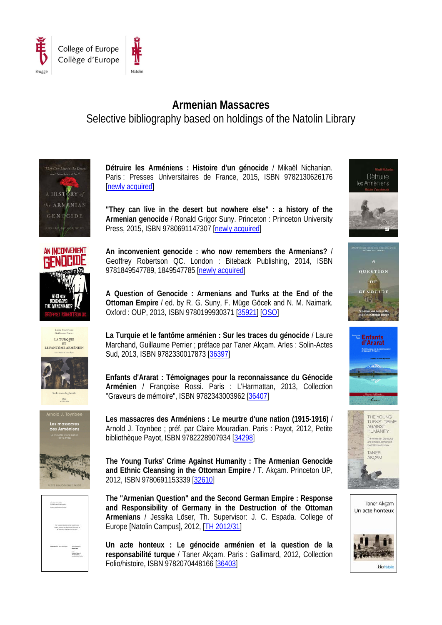

## **Armenian Massacres** Selective bibliography based on holdings of the Natolin Library















**Détruire les Arméniens : Histoire d'un génocide** / Mikaël Nichanian. Paris : Presses Universitaires de France, 2015, ISBN 9782130626176 [\[newly acquired\]](http://hip.coleurop.pl/ipac20/ipac.jsp?uri=full=3100001~!45474~!28&ri=162&aspect=basic&menu=search&source=~!horizon&profile=natlib#focus)

**"They can live in the desert but nowhere else" : a history of the Armenian genocide** / Ronald Grigor Suny. Princeton : Princeton University Press, 2015, ISBN 9780691147307 [\[newly acquired\]](http://hip.coleurop.pl/ipac20/ipac.jsp?uri=full=3100001~!45657~!29&ri=162&aspect=basic&menu=search&source=~!horizon&profile=natlib#focus)

**An inconvenient genocide : who now remembers the Armenians?** / Geoffrey Robertson QC. London : Biteback Publishing, 2014, ISBN 9781849547789, 1849547785 [\[newly acquired\]](http://hip.coleurop.pl/ipac20/ipac.jsp?uri=full=3100001~!45170~!27&ri=162&aspect=basic&menu=search&source=~!horizon&profile=natlib#focus)

**A Question of Genocide : Armenians and Turks at the End of the Ottoman Empire** / ed. by R. G. Suny, F. Müge Göcek and N. M. Naimark. Oxford : OUP, 2013, ISBN 9780199930371 [\[35921\]](http://hip.coleurop.pl/ipac20/ipac.jsp?uri=full=3100001~!38419~!18&ri=162&aspect=basic&menu=search&source=~!horizon&profile=natlib#focus) [\[OSO\]](http://www.oxfordscholarship.com/view/10.1093/acprof:osobl/9780195393743.001.0001/acprof-9780195393743)

**La Turquie et le fantôme arménien : Sur les traces du génocide** / Laure Marchand, Guillaume Perrier ; préface par Taner Akçam. Arles : Solin-Actes Sud, 2013, ISBN 9782330017873 [\[36397\]](http://hip.coleurop.pl/ipac20/ipac.jsp?uri=full=3100001~!38748~!24&ri=162&aspect=basic&menu=search&source=~!horizon&profile=natlib#focus)

**Enfants d'Ararat : Témoignages pour la reconnaissance du Génocide Arménien** / Françoise Rossi. Paris : L'Harmattan, 2013, Collection "Graveurs de mémoire", ISBN 9782343003962 [\[36407\]](http://hip.coleurop.pl/ipac20/ipac.jsp?uri=full=3100001~!38735~!22&ri=162&aspect=basic&menu=search&source=~!horizon&profile=natlib#focus)

**Les massacres des Arméniens : Le meurtre d'une nation (1915-1916)** / Arnold J. Toynbee ; préf. par Claire Mouradian. Paris : Payot, 2012, Petite bibliothèque Payot, ISBN 9782228907934 [\[34298\]](http://hip.coleurop.pl/ipac20/ipac.jsp?uri=full=3100001~!36299~!17&ri=162&aspect=basic&menu=search&source=~!horizon&profile=natlib#focus)

**The Young Turks' Crime Against Humanity : The Armenian Genocide and Ethnic Cleansing in the Ottoman Empire** / T. Akçam. Princeton UP, 2012, ISBN 9780691153339 [\[32610\]](http://hip.coleurop.pl/ipac20/ipac.jsp?uri=full=3100001~!34890~!1&ri=162&aspect=basic&menu=search&source=~!horizon&profile=natlib#focus)

**The "Armenian Question" and the Second German Empire : Response and Responsibility of Germany in the Destruction of the Ottoman Armenians** / Jessika Löser, Th. Supervisor: J. C. Espada. College of Europe [Natolin Campus], 2012, [TH [2012/31\]](http://hip.coleurop.pl/ipac20/ipac.jsp?uri=full=3100001~!36740~!2&ri=162&aspect=basic&menu=search&source=~!horizon&profile=natlib#focus)

**Un acte honteux : Le génocide arménien et la question de la responsabilité turque** / Taner Akçam. Paris : Gallimard, 2012, Collection Folio/histoire, ISBN 9782070448166 [\[36403\]](http://hip.coleurop.pl/ipac20/ipac.jsp?uri=full=3100001~!38724~!20&ri=162&aspect=basic&menu=search&source=~!horizon&profile=natlib#focus)









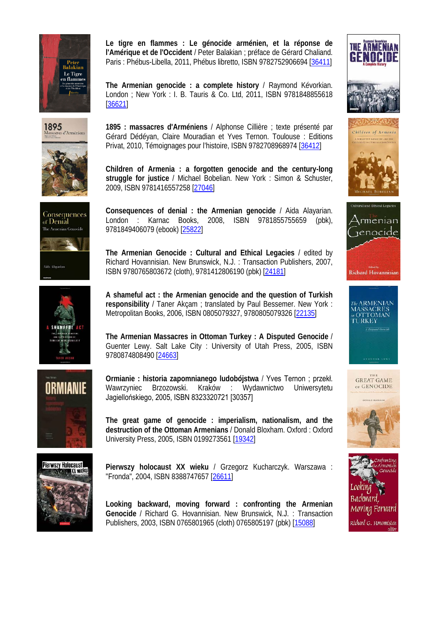

1895<br>Massacres d'Armén









**Le tigre en flammes : Le génocide arménien, et la réponse de l'Amérique et de l'Occident** / Peter Balakian ; préface de Gérard Chaliand. Paris : Phébus-Libella, 2011, Phébus libretto, ISBN 9782752906694 [\[36411\]](http://hip.coleurop.pl/ipac20/ipac.jsp?uri=full=3100001~!38746~!23&ri=162&aspect=basic&menu=search&source=~!horizon&profile=natlib#focus)

**The Armenian genocide : a complete history** / Raymond Kévorkian. London ; New York : I. B. Tauris & Co. Ltd, 2011, ISBN 9781848855618 [\[36621\]](http://hip.coleurop.pl/ipac20/ipac.jsp?uri=full=3100001~!39045~!25&ri=162&aspect=basic&menu=search&source=~!horizon&profile=natlib#focus)

**1895 : massacres d'Arméniens** / Alphonse Cillière ; texte présenté par Gérard Dédéyan, Claire Mouradian et Yves Ternon. Toulouse : Editions Privat, 2010, Témoignages pour l'histoire, ISBN 9782708968974 [\[36412\]](http://hip.coleurop.pl/ipac20/ipac.jsp?uri=full=3100001~!38723~!19&ri=162&aspect=basic&menu=search&source=~!horizon&profile=natlib#focus)

**Children of Armenia : a forgotten genocide and the century-long struggle for justice** / Michael Bobelian. New York : Simon & Schuster, 2009, ISBN 9781416557258 [\[27046\]](http://hip.coleurop.pl/ipac20/ipac.jsp?uri=full=3100001~!28181~!15&ri=162&aspect=basic&menu=search&source=~!horizon&profile=natlib#focus)

**Consequences of denial : the Armenian genocide** / Aida Alayarian. London : Karnac Books, 2008, ISBN 9781855755659 (pbk), 9781849406079 (ebook) [\[25822\]](http://hip.coleurop.pl/ipac20/ipac.jsp?uri=full=3100001~!26127~!13&ri=162&aspect=basic&menu=search&source=~!horizon&profile=natlib#focus)

**The Armenian Genocide : Cultural and Ethical Legacies** / edited by Richard Hovannisian. New Brunswick, N.J. : Transaction Publishers, 2007, ISBN 9780765803672 (cloth), 9781412806190 (pbk) [\[24181\]](http://hip.coleurop.pl/ipac20/ipac.jsp?uri=full=3100001~!23229~!11&ri=162&aspect=basic&menu=search&source=~!horizon&profile=natlib#focus)

**A shameful act : the Armenian genocide and the question of Turkish responsibility** / Taner Akçam ; translated by Paul Bessemer. New York : Metropolitan Books, 2006, ISBN 0805079327, 9780805079326 [\[22135\]](http://hip.coleurop.pl/ipac20/ipac.jsp?uri=full=3100001~!13501~!9&ri=162&aspect=basic&menu=search&source=~!horizon&profile=natlib#focus)

**The Armenian Massacres in Ottoman Turkey : A Disputed Genocide** / Guenter Lewy. Salt Lake City : University of Utah Press, 2005, ISBN 9780874808490 [\[24663\]](http://hip.coleurop.pl/ipac20/ipac.jsp?uri=full=3100001~!24443~!12&ri=162&aspect=basic&menu=search&source=~!horizon&profile=natlib#focus)

**Ormianie : historia zapomnianego ludobójstwa** / Yves Ternon ; przekł. Wawrzyniec Brzozowski. Kraków : Wydawnictwo Uniwersytetu Jagiellońskiego, 2005, ISBN 8323320721 [30357]

**The great game of genocide : imperialism, nationalism, and the destruction of the Ottoman Armenians** / Donald Bloxham. Oxford : Oxford University Press, 2005, ISBN 0199273561 [\[19342\]](http://hip.coleurop.pl/ipac20/ipac.jsp?uri=full=3100001~!7634~!0&ri=162&aspect=basic&menu=search&source=~!horizon&profile=natlib#focus)

**Pierwszy holocaust XX wieku** / Grzegorz Kucharczyk. Warszawa : "Fronda", 2004, ISBN 8388747657 [\[26611\]](http://hip.coleurop.pl/ipac20/ipac.jsp?uri=full=3100001~!27689~!14&ri=162&aspect=basic&menu=search&source=~!horizon&profile=natlib#focus)

**Looking backward, moving forward : confronting the Armenian Genocide** / Richard G. Hovannisian. New Brunswick, N.J. : Transaction Publishers, 2003, ISBN 0765801965 (cloth) 0765805197 (pbk) [\[15088\]](http://hip.coleurop.pl/ipac20/ipac.jsp?uri=full=3100001~!1001~!3&ri=162&aspect=basic&menu=search&source=~!horizon&profile=natlib#focus)











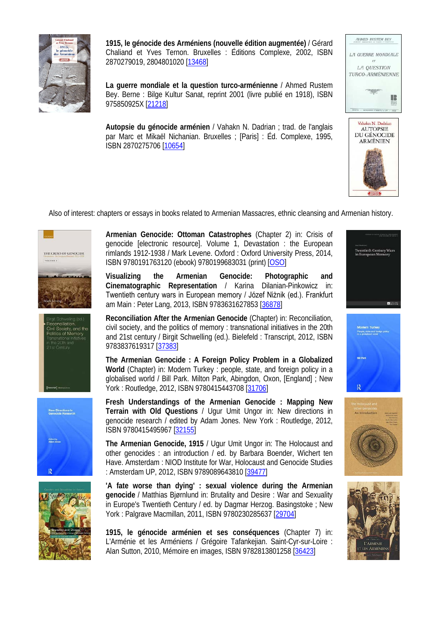

**1915, le génocide des Arméniens (nouvelle édition augmentée)** / Gérard Chaliand et Yves Ternon. Bruxelles : Éditions Complexe, 2002, ISBN 2870279019, 2804801020 [\[13468\]](http://hip.coleurop.pl/ipac20/ipac.jsp?uri=full=3100001~!10666~!7&ri=162&aspect=basic&menu=search&source=~!horizon&profile=natlib#focus)

**La guerre mondiale et la question turco-arménienne** / Ahmed Rustem Bey. Berne : Bilge Kultur Sanat, reprint 2001 (livre publié en 1918), ISBN 975850925X [\[21218\]](http://hip.coleurop.pl/ipac20/ipac.jsp?uri=full=3100001~!9186~!6&ri=162&aspect=basic&menu=search&source=~!horizon&profile=natlib#focus)

**Autopsie du génocide arménien** / Vahakn N. Dadrian ; trad. de l'anglais par Marc et Mikaël Nichanian. Bruxelles ; [Paris] : Éd. Complexe, 1995, ISBN 2870275706 [\[10654\]](http://hip.coleurop.pl/ipac20/ipac.jsp?uri=full=3100001~!14813~!10&ri=162&aspect=basic&menu=search&source=~!horizon&profile=natlib#focus)





Also of interest: chapters or essays in books related to Armenian Massacres, ethnic cleansing and Armenian history.









**Armenian Genocide: Ottoman Catastrophes** (Chapter 2) in: Crisis of genocide [electronic resource]. Volume 1, Devastation : the European rimlands 1912-1938 / Mark Levene. Oxford : Oxford University Press, 2014, ISBN 9780191763120 (ebook) 9780199683031 (print) [\[OSO\]](http://hip.coleurop.pl/ipac20/ipac.jsp?uri=full=3100001~!41862~!30&ri=162&aspect=basic&menu=search&source=~!horizon&profile=natlib#focus)

**Visualizing the Armenian Genocide: Photographic and Cinematographic Representation** / Karina Dilanian-Pinkowicz in: Twentieth century wars in European memory / Józef Niżnik (ed.). Frankfurt am Main : Peter Lang, 2013, ISBN 9783631627853 [\[36878\]](http://hip.coleurop.pl/ipac20/ipac.jsp?uri=full=3100001~!39593~!32&ri=162&aspect=basic&menu=search&source=~!horizon&profile=natlib#focus)

**Reconciliation After the Armenian Genocide** (Chapter) in: Reconciliation, civil society, and the politics of memory : transnational initiatives in the 20th and 21st century / Birgit Schwelling (ed.). Bielefeld : Transcript, 2012, ISBN 9783837619317 [\[37383\]](http://hip.coleurop.pl/ipac20/ipac.jsp?uri=full=3100001~!40132~!34&ri=162&aspect=basic&menu=search&source=~!horizon&profile=natlib#focus)

**The Armenian Genocide : A Foreign Policy Problem in a Globalized World** (Chapter) in: Modern Turkey : people, state, and foreign policy in a globalised world / Bill Park. Milton Park, Abingdon, Oxon, [England] ; New York : Routledge, 2012, ISBN 9780415443708 [\[31706\]](http://hip.coleurop.pl/ipac20/ipac.jsp?uri=full=3100001~!31703~!35&ri=162&aspect=basic&menu=search&source=~!horizon&profile=natlib#focus)

**Fresh Understandings of the Armenian Genocide : Mapping New Terrain with Old Questions** / Ugur Umit Ungor in: New directions in genocide research / edited by Adam Jones. New York : Routledge, 2012, ISBN 9780415495967 [\[32155\]](http://hip.coleurop.pl/ipac20/ipac.jsp?uri=full=3100001~!34346~!36&ri=162&aspect=basic&menu=search&source=~!horizon&profile=natlib#focus)

**The Armenian Genocide, 1915** / Ugur Umit Ungor in: The Holocaust and other genocides : an introduction / ed. by Barbara Boender, Wichert ten Have. Amsterdam : NIOD Institute for War, Holocaust and Genocide Studies : Amsterdam UP, 2012, ISBN 9789089643810 [\[39477\]](http://hip.coleurop.pl/ipac20/ipac.jsp?uri=full=3100001~!42826~!37&ri=162&aspect=basic&menu=search&source=~!horizon&profile=natlib#focus)

**'A fate worse than dying' : sexual violence during the Armenian genocide** / Matthias Bjørnlund in: Brutality and Desire : War and Sexuality in Europe's Twentieth Century / ed. by Dagmar Herzog. Basingstoke ; New York : Palgrave Macmillan, 2011, ISBN 9780230285637 [\[29704\]](http://hip.coleurop.pl/ipac20/ipac.jsp?uri=full=3100001~!31745~!38&ri=162&aspect=basic&menu=search&source=~!horizon&profile=natlib#focus)

**1915, le génocide arménien et ses conséquences** (Chapter 7) in: L'Arménie et les Arméniens / Grégoire Tafankejian. Saint-Cyr-sur-Loire : Alan Sutton, 2010, Mémoire en images, ISBN 9782813801258 [\[36423\]](http://hip.coleurop.pl/ipac20/ipac.jsp?uri=full=3100001~!38728~!21&ri=162&aspect=basic&menu=search&source=~!horizon&profile=natlib#focus)